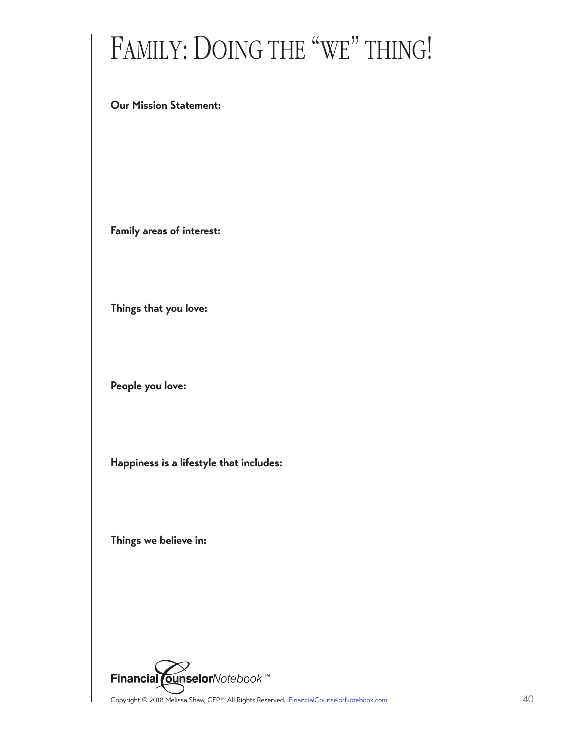## FAMILY: DOING THE "WE" THING!

## **Our Mission Statement:**

**Family areas of interest:**

**Things that you love:**

**People you love:**

**Happiness is a lifestyle that includes:**

**Things we believe in:**



Copyright © 2018 Melissa Shaw, CFP® All Rights Reserved. [FinancialCounselorNotebook.com](http://www.financialcounselornotebook.com) 40